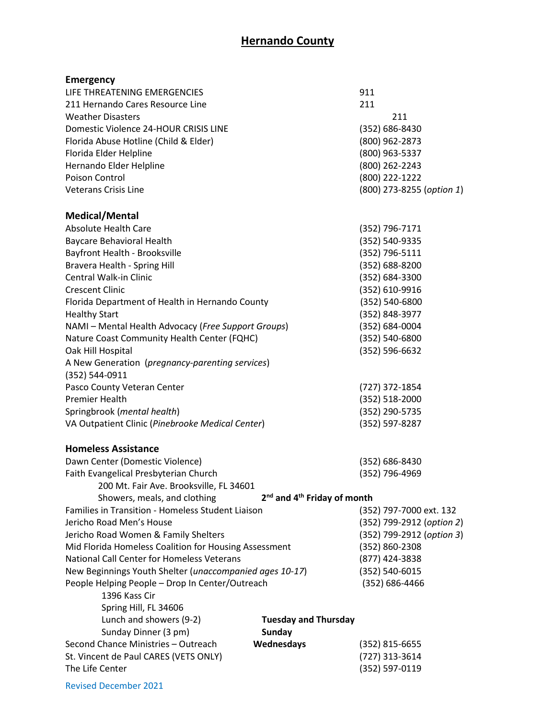| <b>Emergency</b>                                                 |                                                     |                           |
|------------------------------------------------------------------|-----------------------------------------------------|---------------------------|
| LIFE THREATENING EMERGENCIES                                     |                                                     | 911                       |
| 211 Hernando Cares Resource Line                                 |                                                     | 211                       |
| <b>Weather Disasters</b>                                         |                                                     | 211                       |
| Domestic Violence 24-HOUR CRISIS LINE                            |                                                     | (352) 686-8430            |
| Florida Abuse Hotline (Child & Elder)                            |                                                     | (800) 962-2873            |
| Florida Elder Helpline                                           |                                                     | (800) 963-5337            |
| Hernando Elder Helpline                                          |                                                     | (800) 262-2243            |
| <b>Poison Control</b>                                            |                                                     | (800) 222-1222            |
| Veterans Crisis Line                                             |                                                     | (800) 273-8255 (option 1) |
| Medical/Mental                                                   |                                                     |                           |
| <b>Absolute Health Care</b>                                      |                                                     | (352) 796-7171            |
| <b>Baycare Behavioral Health</b>                                 |                                                     | (352) 540-9335            |
| Bayfront Health - Brooksville                                    |                                                     | (352) 796-5111            |
| <b>Bravera Health - Spring Hill</b>                              |                                                     | (352) 688-8200            |
| Central Walk-in Clinic                                           |                                                     | (352) 684-3300            |
| <b>Crescent Clinic</b>                                           |                                                     | (352) 610-9916            |
| Florida Department of Health in Hernando County                  |                                                     | (352) 540-6800            |
| <b>Healthy Start</b>                                             |                                                     | (352) 848-3977            |
| NAMI - Mental Health Advocacy (Free Support Groups)              |                                                     | (352) 684-0004            |
| Nature Coast Community Health Center (FQHC)                      |                                                     | (352) 540-6800            |
| Oak Hill Hospital                                                |                                                     | (352) 596-6632            |
| A New Generation (pregnancy-parenting services)                  |                                                     |                           |
| (352) 544-0911                                                   |                                                     |                           |
| Pasco County Veteran Center                                      |                                                     | (727) 372-1854            |
| Premier Health                                                   |                                                     | $(352) 518 - 2000$        |
| Springbrook (mental health)                                      |                                                     | (352) 290-5735            |
| VA Outpatient Clinic (Pinebrooke Medical Center)                 |                                                     | (352) 597-8287            |
| <b>Homeless Assistance</b>                                       |                                                     |                           |
| Dawn Center (Domestic Violence)                                  |                                                     | (352) 686-8430            |
| Faith Evangelical Presbyterian Church                            |                                                     | (352) 796-4969            |
| 200 Mt. Fair Ave. Brooksville, FL 34601                          |                                                     |                           |
| Showers, meals, and clothing                                     | 2 <sup>nd</sup> and 4 <sup>th</sup> Friday of month |                           |
| Families in Transition - Homeless Student Liaison                |                                                     | (352) 797-7000 ext. 132   |
| Jericho Road Men's House                                         |                                                     | (352) 799-2912 (option 2) |
| Jericho Road Women & Family Shelters                             |                                                     | (352) 799-2912 (option 3) |
| Mid Florida Homeless Coalition for Housing Assessment            | (352) 860-2308                                      |                           |
| National Call Center for Homeless Veterans                       |                                                     | (877) 424-3838            |
| New Beginnings Youth Shelter (unaccompanied ages 10-17)          |                                                     | (352) 540-6015            |
| People Helping People - Drop In Center/Outreach<br>1396 Kass Cir |                                                     | (352) 686-4466            |
| Spring Hill, FL 34606                                            |                                                     |                           |
| Lunch and showers (9-2)                                          | <b>Tuesday and Thursday</b>                         |                           |
| Sunday Dinner (3 pm)                                             | <b>Sunday</b>                                       |                           |
| Second Chance Ministries - Outreach                              | Wednesdays                                          | $(352)$ 815-6655          |
| St. Vincent de Paul CARES (VETS ONLY)                            |                                                     | (727) 313-3614            |
| The Life Center                                                  |                                                     | (352) 597-0119            |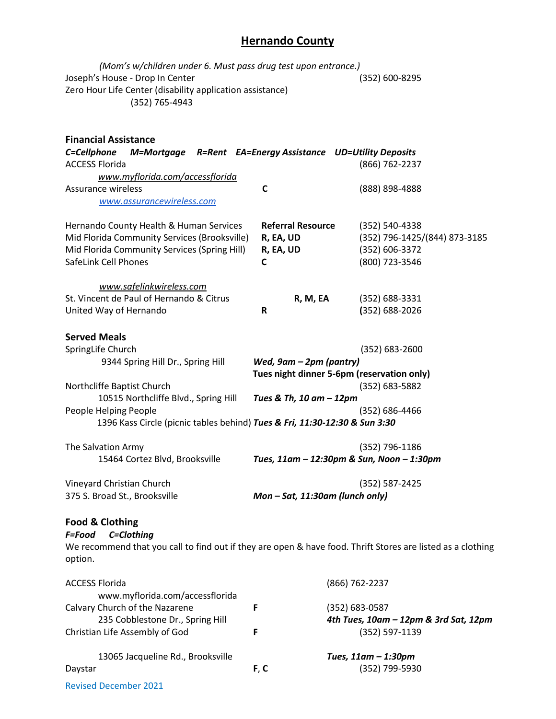| (Mom's w/children under 6. Must pass drug test upon entrance.)<br>Joseph's House - Drop In Center<br>Zero Hour Life Center (disability application assistance)<br>(352) 765-4943 |                                                         | (352) 600-8295                                                                      |
|----------------------------------------------------------------------------------------------------------------------------------------------------------------------------------|---------------------------------------------------------|-------------------------------------------------------------------------------------|
| <b>Financial Assistance</b><br>C=Cellphone<br>M=Mortgage R=Rent EA=Energy Assistance UD=Utility Deposits<br><b>ACCESS Florida</b><br>www.myflorida.com/accessflorida             |                                                         | (866) 762-2237                                                                      |
| Assurance wireless<br>www.assurancewireless.com                                                                                                                                  | C                                                       | (888) 898-4888                                                                      |
| Hernando County Health & Human Services<br>Mid Florida Community Services (Brooksville)<br>Mid Florida Community Services (Spring Hill)<br>SafeLink Cell Phones                  | <b>Referral Resource</b><br>R, EA, UD<br>R, EA, UD<br>C | (352) 540-4338<br>(352) 796-1425/(844) 873-3185<br>(352) 606-3372<br>(800) 723-3546 |
| www.safelinkwireless.com<br>St. Vincent de Paul of Hernando & Citrus<br>United Way of Hernando                                                                                   | R, M, EA<br>R                                           | (352) 688-3331<br>$(352) 688 - 2026$                                                |
| <b>Served Meals</b><br>SpringLife Church<br>9344 Spring Hill Dr., Spring Hill<br>Northcliffe Baptist Church<br>10515 Northcliffe Blvd., Spring Hill                              | Wed, 9am - 2pm (pantry)<br>Tues & Th, 10 am - 12pm      | $(352) 683 - 2600$<br>Tues night dinner 5-6pm (reservation only)<br>(352) 683-5882  |
| People Helping People<br>1396 Kass Circle (picnic tables behind) Tues & Fri, 11:30-12:30 & Sun 3:30                                                                              |                                                         | (352) 686-4466                                                                      |
| The Salvation Army<br>15464 Cortez Blvd, Brooksville                                                                                                                             |                                                         | (352) 796-1186<br>Tues, 11am - 12:30pm & Sun, Noon - 1:30pm                         |
| Vineyard Christian Church<br>375 S. Broad St., Brooksville                                                                                                                       | Mon-Sat, 11:30am (lunch only)                           | (352) 587-2425                                                                      |
| <b>Food &amp; Clothing</b><br>C=Clothing<br>F=Food<br>We recommend that you call to find out if they are open & have food. Thrift Stores are listed as a clothing<br>option.     |                                                         |                                                                                     |
| <b>ACCESS Florida</b><br>www.myflorida.com/accessflorida                                                                                                                         |                                                         | (866) 762-2237                                                                      |
| Calvary Church of the Nazarene<br>235 Cobblestone Dr., Spring Hill<br>Christian Life Assembly of God                                                                             | F<br>F                                                  | (352) 683-0587<br>4th Tues, 10am - 12pm & 3rd Sat, 12pm<br>(352) 597-1139           |
| 13065 Jacqueline Rd., Brooksville<br>Daystar<br><b>Revised December 2021</b>                                                                                                     | F, C                                                    | Tues, 11am - 1:30pm<br>(352) 799-5930                                               |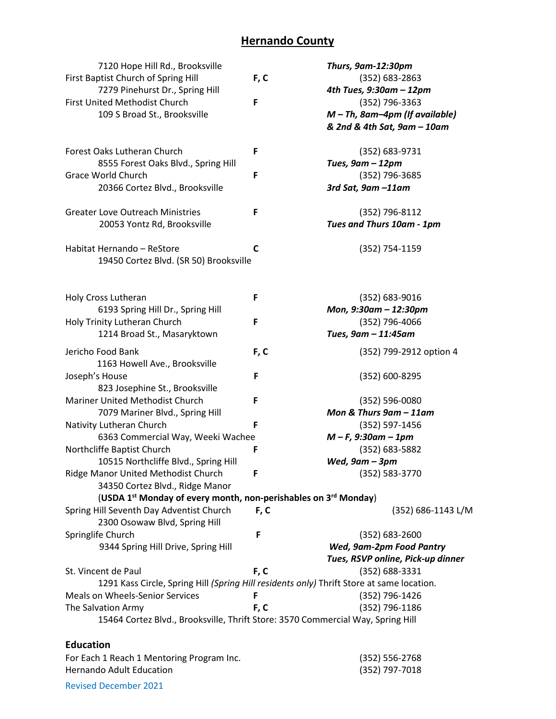| 7120 Hope Hill Rd., Brooksville                                                           |      | Thurs, 9am-12:30pm                |
|-------------------------------------------------------------------------------------------|------|-----------------------------------|
| First Baptist Church of Spring Hill                                                       | F, C | (352) 683-2863                    |
| 7279 Pinehurst Dr., Spring Hill                                                           |      | 4th Tues, 9:30am - 12pm           |
| First United Methodist Church                                                             | F    | (352) 796-3363                    |
| 109 S Broad St., Brooksville                                                              |      | $M$ – Th, 8am-4pm (If available)  |
|                                                                                           |      | & 2nd & 4th Sat, 9am - 10am       |
|                                                                                           |      |                                   |
| Forest Oaks Lutheran Church                                                               | F    | (352) 683-9731                    |
| 8555 Forest Oaks Blvd., Spring Hill                                                       |      | Tues, 9am - 12pm                  |
| Grace World Church                                                                        | F    | (352) 796-3685                    |
| 20366 Cortez Blvd., Brooksville                                                           |      | 3rd Sat, 9am -11am                |
|                                                                                           |      |                                   |
| <b>Greater Love Outreach Ministries</b>                                                   | F    | (352) 796-8112                    |
| 20053 Yontz Rd, Brooksville                                                               |      | Tues and Thurs 10am - 1pm         |
|                                                                                           |      |                                   |
| Habitat Hernando - ReStore                                                                | C    | (352) 754-1159                    |
| 19450 Cortez Blvd. (SR 50) Brooksville                                                    |      |                                   |
|                                                                                           |      |                                   |
|                                                                                           |      |                                   |
| Holy Cross Lutheran                                                                       | F    | (352) 683-9016                    |
| 6193 Spring Hill Dr., Spring Hill                                                         |      | Mon, 9:30am - 12:30pm             |
| Holy Trinity Lutheran Church                                                              | F    | (352) 796-4066                    |
| 1214 Broad St., Masaryktown                                                               |      | Tues, 9am - 11:45am               |
|                                                                                           |      |                                   |
| Jericho Food Bank                                                                         | F, C | (352) 799-2912 option 4           |
| 1163 Howell Ave., Brooksville                                                             |      |                                   |
| Joseph's House                                                                            | F    | (352) 600-8295                    |
| 823 Josephine St., Brooksville                                                            |      |                                   |
| Mariner United Methodist Church                                                           | F    | (352) 596-0080                    |
| 7079 Mariner Blvd., Spring Hill                                                           |      | Mon & Thurs 9am - 11am            |
| Nativity Lutheran Church                                                                  | F    | (352) 597-1456                    |
| 6363 Commercial Way, Weeki Wachee                                                         |      | $M - F$ , 9:30am - 1pm            |
| Northcliffe Baptist Church                                                                | F    | (352) 683-5882                    |
| 10515 Northcliffe Blvd., Spring Hill                                                      |      | Wed, $9$ am $-3$ pm               |
| Ridge Manor United Methodist Church                                                       | F    | (352) 583-3770                    |
| 34350 Cortez Blvd., Ridge Manor                                                           |      |                                   |
| (USDA 1 <sup>st</sup> Monday of every month, non-perishables on 3 <sup>rd</sup> Monday)   |      |                                   |
| Spring Hill Seventh Day Adventist Church                                                  | F, C | (352) 686-1143 L/M                |
| 2300 Osowaw Blvd, Spring Hill                                                             |      |                                   |
| Springlife Church                                                                         | F    | (352) 683-2600                    |
| 9344 Spring Hill Drive, Spring Hill                                                       |      | Wed, 9am-2pm Food Pantry          |
|                                                                                           |      | Tues, RSVP online, Pick-up dinner |
| St. Vincent de Paul                                                                       | F, C | (352) 688-3331                    |
| 1291 Kass Circle, Spring Hill (Spring Hill residents only) Thrift Store at same location. |      |                                   |
| <b>Meals on Wheels-Senior Services</b>                                                    | F    | (352) 796-1426                    |
| The Salvation Army                                                                        | F, C | (352) 796-1186                    |
| 15464 Cortez Blvd., Brooksville, Thrift Store: 3570 Commercial Way, Spring Hill           |      |                                   |
|                                                                                           |      |                                   |
| <b>Education</b>                                                                          |      |                                   |
| For Each 1 Reach 1 Mentoring Program Inc.                                                 |      | (352) 556-2768                    |
| Hernando Adult Education                                                                  |      | (352) 797-7018                    |

Revised December 2021